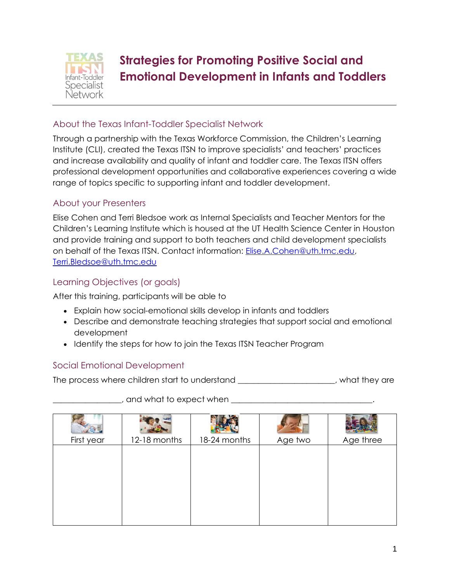

# **Strategies for Promoting Positive Social and Emotional Development in Infants and Toddlers**

#### About the Texas Infant-Toddler Specialist Network

Through a partnership with the Texas Workforce Commission, the Children's Learning Institute (CLI), created the Texas ITSN to improve specialists' and teachers' practices and increase availability and quality of infant and toddler care. The Texas ITSN offers professional development opportunities and collaborative experiences covering a wide range of topics specific to supporting infant and toddler development.

#### About your Presenters

Elise Cohen and Terri Bledsoe work as Internal Specialists and Teacher Mentors for the Children's Learning Institute which is housed at the UT Health Science Center in Houston and provide training and support to both teachers and child development specialists on behalf of the Texas ITSN. Contact information: [Elise.A.Cohen@uth.tmc.edu,](mailto:Elise.A.Cohen@uth.tmc.edu) [Terri.Bledsoe@uth.tmc.edu](mailto:Terri.Bledsoe@uth.tmc.edu)

#### Learning Objectives (or goals)

After this training, participants will be able to

- Explain how social-emotional skills develop in infants and toddlers
- Describe and demonstrate teaching strategies that support social and emotional development
- Identify the steps for how to join the Texas ITSN Teacher Program

#### Social Emotional Development

The process where children start to understand The process where children start to understand

| First year | 12-18 months | 18-24 months | Age two | Age three |
|------------|--------------|--------------|---------|-----------|
|            |              |              |         |           |
|            |              |              |         |           |
|            |              |              |         |           |

\_\_\_\_\_\_\_\_\_\_\_\_\_\_\_\_\_, and what to expect when \_\_\_\_\_\_\_\_\_\_\_\_\_\_\_\_\_\_\_\_\_\_\_\_\_\_\_\_\_\_\_\_\_\_\_.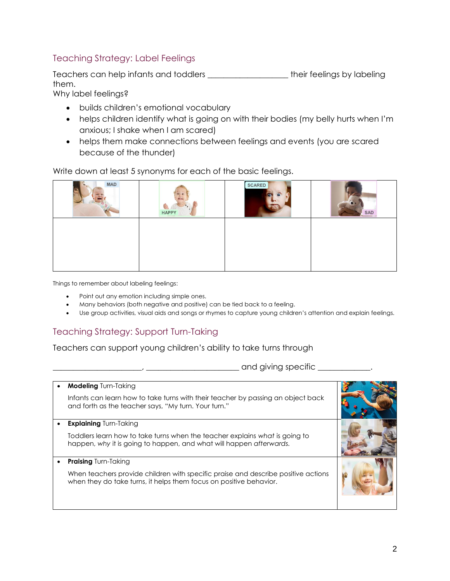#### Teaching Strategy: Label Feelings

Teachers can help infants and toddlers \_\_\_\_\_\_\_\_\_\_\_\_\_\_\_\_\_\_\_\_ their feelings by labeling them.

Why label feelings?

- builds children's emotional vocabulary
- helps children identify what is going on with their bodies (my belly hurts when I'm anxious; I shake when I am scared)
- helps them make connections between feelings and events (you are scared because of the thunder)

Write down at least 5 synonyms for each of the basic feelings.

| <b>MAD</b> | 40.45<br>$5 -$<br><b>GRAND</b><br><b>HAPPY</b><br><b>CONTRACTOR</b> | <b>SCARED</b> | SAD |
|------------|---------------------------------------------------------------------|---------------|-----|
|            |                                                                     |               |     |
|            |                                                                     |               |     |
|            |                                                                     |               |     |

Things to remember about labeling feelings:

- Point out any emotion including simple ones.
- Many behaviors (both negative and positive) can be tied back to a feeling.
- Use group activities, visual aids and songs or rhymes to capture young children's attention and explain feelings.

### Teaching Strategy: Support Turn-Taking

Teachers can support young children's ability to take turns through

\_\_\_\_\_\_\_\_\_\_\_\_\_\_\_\_\_\_\_\_\_\_, \_\_\_\_\_\_\_\_\_\_\_\_\_\_\_\_\_\_\_\_\_\_\_ and giving specific \_\_\_\_\_\_\_\_\_\_\_\_\_.

| <b>Modeling Turn-Taking</b>                                                                                                                             |  |
|---------------------------------------------------------------------------------------------------------------------------------------------------------|--|
| Infants can learn how to take turns with their teacher by passing an object back<br>and forth as the teacher says, "My turn. Your turn."                |  |
| <b>Explaining Turn-Taking</b>                                                                                                                           |  |
| Toddlers learn how to take turns when the teacher explains what is going to<br>happen, why it is going to happen, and what will happen afterwards.      |  |
| <b>Praising Turn-Taking</b>                                                                                                                             |  |
| When teachers provide children with specific praise and describe positive actions<br>when they do take turns, it helps them focus on positive behavior. |  |
|                                                                                                                                                         |  |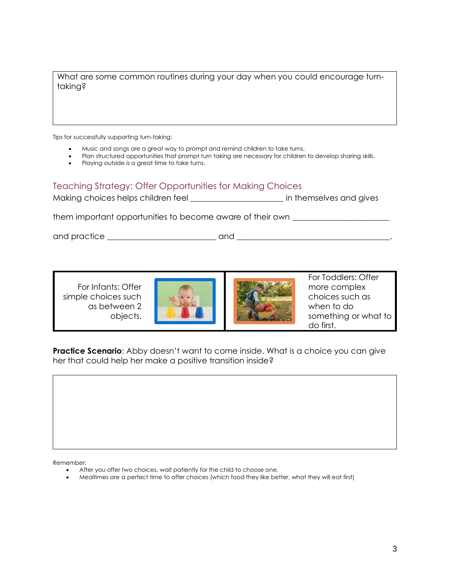What are some common routines during your day when you could encourage turntaking?

Tips for successfully supporting turn-taking:

- Music and songs are a great way to prompt and remind children to take turns.
- Plan structured opportunities that prompt turn taking are necessary for children to develop sharing skills.
- Playing outside is a great time to take turns.

#### Teaching Strategy: Offer Opportunities for Making Choices

| Making choices helps children feel | in themselves and gives |  |
|------------------------------------|-------------------------|--|
|                                    |                         |  |

them important opportunities to become aware of their own \_\_\_\_\_\_\_\_\_\_\_\_\_\_\_\_\_\_\_\_\_\_

and practice \_\_\_\_\_\_\_\_\_\_\_\_\_\_\_\_\_\_\_\_\_\_\_\_\_\_\_ and \_\_\_\_\_\_\_\_\_\_\_\_\_\_\_\_\_\_\_\_\_\_\_\_\_\_\_\_\_\_\_\_\_\_\_\_\_\_.

For Infants: Offer simple choices such as between 2 objects.





For Toddlers: Offer more complex choices such as when to do something or what to do first.

**Practice Scenario**: Abby doesn't want to come inside. What is a choice you can give her that could help her make a positive transition inside?

Remember:

- After you offer two choices, wait patiently for the child to choose one.
- Mealtimes are a perfect time to offer choices (which food they like better, what they will eat first)